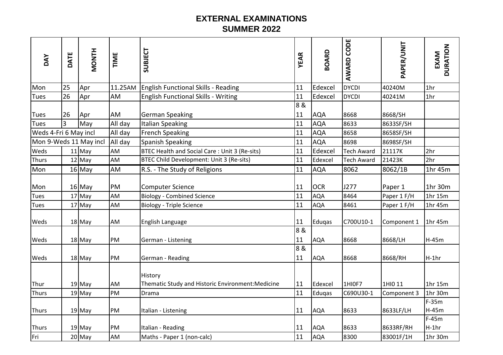## **EXTERNAL EXAMINATIONS SUMMER 2022**

| DAY                    | DATE | <b>HINOM</b>         | TIME      | SUBJECT                                                      | <b>YEAR</b> | <b>BOARD</b>             | <b>AWARD CODE</b> | PAPER/UNIT             | <b>DURATION</b><br>EXAM |
|------------------------|------|----------------------|-----------|--------------------------------------------------------------|-------------|--------------------------|-------------------|------------------------|-------------------------|
| Mon                    | 25   | Apr                  | 11.25AM   | English Functional Skills - Reading                          | 11          | Edexcel                  | <b>DYCDI</b>      | 40240M                 | 1 <sub>hr</sub>         |
| Tues                   | 26   | Apr                  | AM        | <b>English Functional Skills - Writing</b>                   | 11          | Edexcel                  | <b>DYCDI</b>      | 40241M                 | 1 <sub>hr</sub>         |
| <b>Tues</b>            | 26   | Apr                  | AM        | <b>German Speaking</b>                                       | 8 &<br>11   | <b>AQA</b>               | 8668              | 8668/SH                |                         |
| Tues                   | 3    | May                  | All day   | <b>Italian Speaking</b>                                      | 11          | <b>AQA</b>               | 8633              | 8633SF/SH              |                         |
| Weds 4-Fri 6 May incl  |      |                      | All day   | <b>French Speaking</b>                                       | 11          | <b>AQA</b>               | 8658              | 8658SF/SH              |                         |
| Mon 9-Weds 11 May incl |      |                      | All day   | <b>Spanish Speaking</b>                                      | 11          | <b>AQA</b>               | 8698              | 8698SF/SH              |                         |
| Weds                   |      | $11$ May             | AM        | BTEC Health and Social Care: Unit 3 (Re-sits)                | 11          | Edexcel                  | <b>Tech Award</b> | 21117K                 | 2hr                     |
| <b>Thurs</b>           |      | $12$ May             | AM        | BTEC Child Development: Unit 3 (Re-sits)                     | 11          | Edexcel                  | <b>Tech Award</b> | 21423K                 | 2hr                     |
| Mon                    |      | $16$ May             | <b>AM</b> | R.S. - The Study of Religions                                | 11          | <b>AQA</b>               | 8062              | 8062/1B                | 1hr 45m                 |
| Mon<br><b>Tues</b>     |      | $16$ May<br>$17$ May | PM<br>AM  | <b>Computer Science</b><br><b>Biology - Combined Science</b> | 11<br>11    | <b>OCR</b><br><b>AQA</b> | J277<br>8464      | Paper 1<br>Paper 1 F/H | 1hr 30m<br>1hr $15m$    |
| <b>Tues</b>            |      | $17$ May             | AM        | <b>Biology - Triple Science</b>                              | 11          | <b>AQA</b>               | 8461              | Paper 1 F/H            | 1hr 45m                 |
| Weds                   |      | $18$ May             | AM        | English Language                                             | 11          | Eduqas                   | C700U10-1         | Component 1            | 1hr 45m                 |
| <b>Weds</b>            |      | $18$ May             | PM        | German - Listening                                           | 8 &<br>11   | <b>AQA</b>               | 8668              | 8668/LH                | $H-45m$                 |
| <b>Weds</b>            |      | $18$ May             | PM        | German - Reading                                             | 8 &<br>11   | <b>AQA</b>               | 8668              | 8668/RH                | $H-1hr$                 |
| Thur                   |      | $19$ May             | AM        | History<br>Thematic Study and Historic Environment: Medicine | 11          | Edexcel                  | 1HIOF7            | 1HI0 11                | 1hr 15m                 |
| <b>Thurs</b>           |      | $19$ May             | PM        | Drama                                                        | 11          | Eduqas                   | C690U30-1         | Component 3            | 1hr 30m                 |
| <b>Thurs</b>           |      | $19$ May             | PM        | Italian - Listening                                          | 11          | <b>AQA</b>               | 8633              | 8633LF/LH              | $F-35m$<br>$H-45m$      |
| <b>Thurs</b>           |      | $19$ May             | PM        | Italian - Reading                                            | 11          | <b>AQA</b>               | 8633              | 8633RF/RH              | $F-45m$<br>$H-1hr$      |
| <b>Fri</b>             |      | $20$ May             | AM        | Maths - Paper 1 (non-calc)                                   | 11          | <b>AQA</b>               | 8300              | 83001F/1H              | 1hr 30m                 |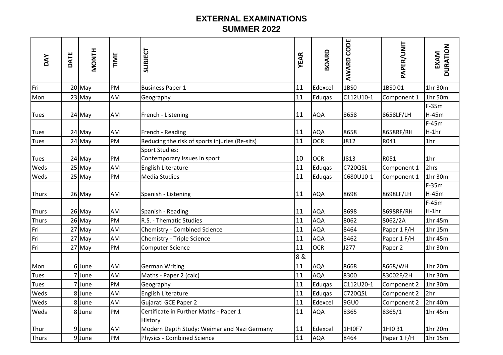## **EXTERNAL EXAMINATIONS SUMMER 2022**

| <b>DAY</b>           | DATE | <b>HINOM</b>   | TIME      | SUBJECT                                                                                     | <b>YEAR</b> | <b>BOARD</b>          | CODE<br>AWARD  | PAPER/UNIT             | <b>DURATION</b><br>EXAM       |
|----------------------|------|----------------|-----------|---------------------------------------------------------------------------------------------|-------------|-----------------------|----------------|------------------------|-------------------------------|
| Fri                  |      | $20$ May       | PM        | <b>Business Paper 1</b>                                                                     | 11          | Edexcel               | 1BS0           | 1BS001                 | 1hr 30m                       |
| Mon                  |      | $23$ May       | AM        | Geography                                                                                   | 11          | Eduqas                | C112U10-1      | Component 1            | 1hr 50m                       |
| Tues                 |      | $24$ May       | AM        | French - Listening                                                                          | 11          | <b>AQA</b>            | 8658           | 8658LF/LH              | $F-35m$<br>$H-45m$<br>$F-45m$ |
| <b>Tues</b>          |      | $24$ May       | AM        | French - Reading                                                                            | 11          | <b>AQA</b>            | 8658           | 8658RF/RH              | $H-1hr$                       |
| <b>Tues</b>          |      | $24$ May       | PM        | Reducing the risk of sports injuries (Re-sits)                                              | 11          | <b>OCR</b>            | J812           | R041                   | 1 <sub>hr</sub>               |
| <b>Tues</b>          |      | $24$ May       | PM        | <b>Sport Studies:</b><br>Contemporary issues in sport                                       | 10          | <b>OCR</b>            | <b>J813</b>    | R051                   | 1 <sub>hr</sub>               |
| Weds                 |      | $25$ May       | <b>AM</b> | English Literature                                                                          | 11          | Eduqas                | C720QSL        | Component 1            | 2hrs                          |
| Weds                 |      | 25 May         | PM        | <b>Media Studies</b>                                                                        | 11          | Eduqas                | C680U10-1      | Component 1            | 1hr 30m                       |
| <b>Thurs</b>         |      | $26$ May       | AM        | Spanish - Listening                                                                         | 11          | <b>AQA</b>            | 8698           | 8698LF/LH              | $F-35m$<br>$H-45m$<br>$F-45m$ |
| <b>Thurs</b>         |      | $26$ May       | AM        | Spanish - Reading                                                                           | 11          | <b>AQA</b>            | 8698           | 8698RF/RH              | $H-1hr$                       |
| <b>Thurs</b>         |      | $26$ May       | PM        | R.S. - Thematic Studies                                                                     | 11          | <b>AQA</b>            | 8062           | 8062/2A                | 1hr 45m                       |
| Fri                  |      | 27 May         | AM        | <b>Chemistry - Combined Science</b>                                                         | 11          | <b>AQA</b>            | 8464           | Paper 1 F/H            | 1hr 15m                       |
| Fri                  |      | $27$ May       | AM        | Chemistry - Triple Science                                                                  | 11          | <b>AQA</b>            | 8462           | Paper 1 F/H            | 1hr 45m                       |
| Fri                  |      | $27$ May       | PM        | <b>Computer Science</b>                                                                     | 11          | <b>OCR</b>            | J277           | Paper 2                | 1hr 30m                       |
| Mon                  |      | 6 June         | AM        | <b>German Writing</b>                                                                       | 8 &<br>11   | <b>AQA</b>            | 8668           | 8668/WH                | 1hr 20m                       |
| <b>Tues</b>          |      | 7 June         | AM        | Maths - Paper 2 (calc)                                                                      | 11          | <b>AQA</b>            | 8300           | 83002F/2H              | 1hr 30m                       |
| <b>Tues</b>          |      | 7June          | PM        | Geography                                                                                   | 11          | Eduqas                | C112U20-1      | Component 2            | 1hr 30m                       |
| Weds                 |      | 8 June         | AM        | English Literature                                                                          | 11          | Eduqas                | C720QSL        | Component 2            | 2hr                           |
| Weds                 |      | 8 June         | AM        | Gujarati GCE Paper 2                                                                        | 11          | Edexcel               | 9GU0           | Component 2            | 2hr 40m                       |
| Weds                 |      | 8June          | PM        | Certificate in Further Maths - Paper 1                                                      | 11          | <b>AQA</b>            | 8365           | 8365/1                 | 1hr 45m                       |
| Thur<br><b>Thurs</b> |      | 9June<br>9June | AM<br>PM  | History<br>Modern Depth Study: Weimar and Nazi Germany<br><b>Physics - Combined Science</b> | 11<br>11    | Edexcel<br><b>AQA</b> | 1HI0F7<br>8464 | 1HI0 31<br>Paper 1 F/H | 1hr 20m<br>1hr 15m            |
|                      |      |                |           |                                                                                             |             |                       |                |                        |                               |